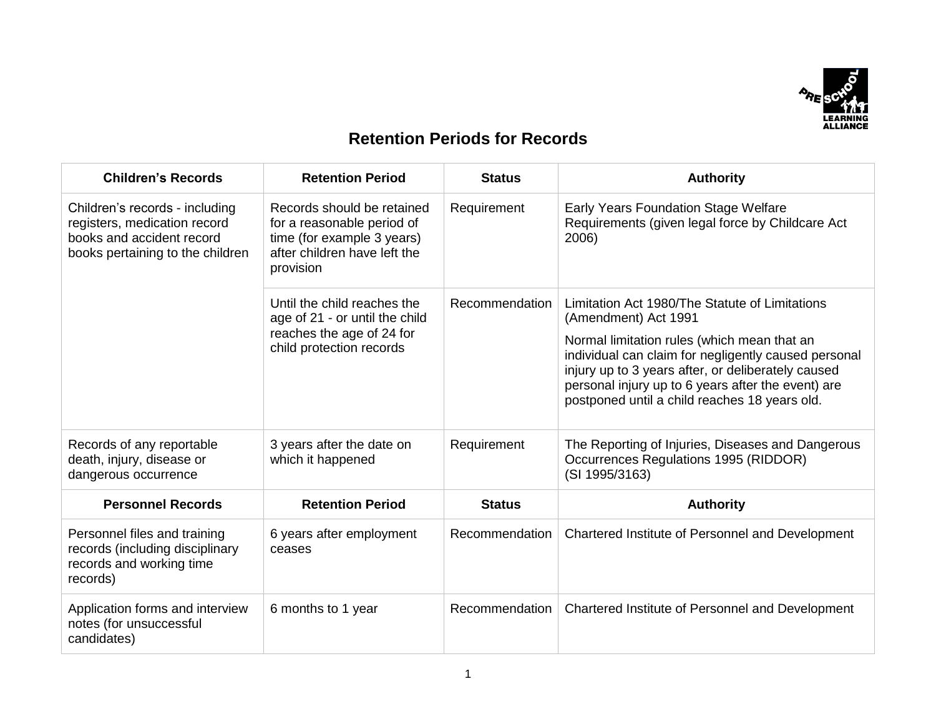

## **Retention Periods for Records**

| <b>Children's Records</b>                                                                                                       | <b>Retention Period</b>                                                                                                             | <b>Status</b>  | <b>Authority</b>                                                                                                                                                                                                                                                                                                                           |
|---------------------------------------------------------------------------------------------------------------------------------|-------------------------------------------------------------------------------------------------------------------------------------|----------------|--------------------------------------------------------------------------------------------------------------------------------------------------------------------------------------------------------------------------------------------------------------------------------------------------------------------------------------------|
| Children's records - including<br>registers, medication record<br>books and accident record<br>books pertaining to the children | Records should be retained<br>for a reasonable period of<br>time (for example 3 years)<br>after children have left the<br>provision | Requirement    | Early Years Foundation Stage Welfare<br>Requirements (given legal force by Childcare Act<br>2006)                                                                                                                                                                                                                                          |
|                                                                                                                                 | Until the child reaches the<br>age of 21 - or until the child<br>reaches the age of 24 for<br>child protection records              | Recommendation | Limitation Act 1980/The Statute of Limitations<br>(Amendment) Act 1991<br>Normal limitation rules (which mean that an<br>individual can claim for negligently caused personal<br>injury up to 3 years after, or deliberately caused<br>personal injury up to 6 years after the event) are<br>postponed until a child reaches 18 years old. |
| Records of any reportable<br>death, injury, disease or<br>dangerous occurrence                                                  | 3 years after the date on<br>which it happened                                                                                      | Requirement    | The Reporting of Injuries, Diseases and Dangerous<br>Occurrences Regulations 1995 (RIDDOR)<br>(SI 1995/3163)                                                                                                                                                                                                                               |
| <b>Personnel Records</b>                                                                                                        | <b>Retention Period</b>                                                                                                             | <b>Status</b>  | <b>Authority</b>                                                                                                                                                                                                                                                                                                                           |
| Personnel files and training<br>records (including disciplinary<br>records and working time<br>records)                         | 6 years after employment<br>ceases                                                                                                  | Recommendation | Chartered Institute of Personnel and Development                                                                                                                                                                                                                                                                                           |
| Application forms and interview<br>notes (for unsuccessful<br>candidates)                                                       | 6 months to 1 year                                                                                                                  |                | Recommendation   Chartered Institute of Personnel and Development                                                                                                                                                                                                                                                                          |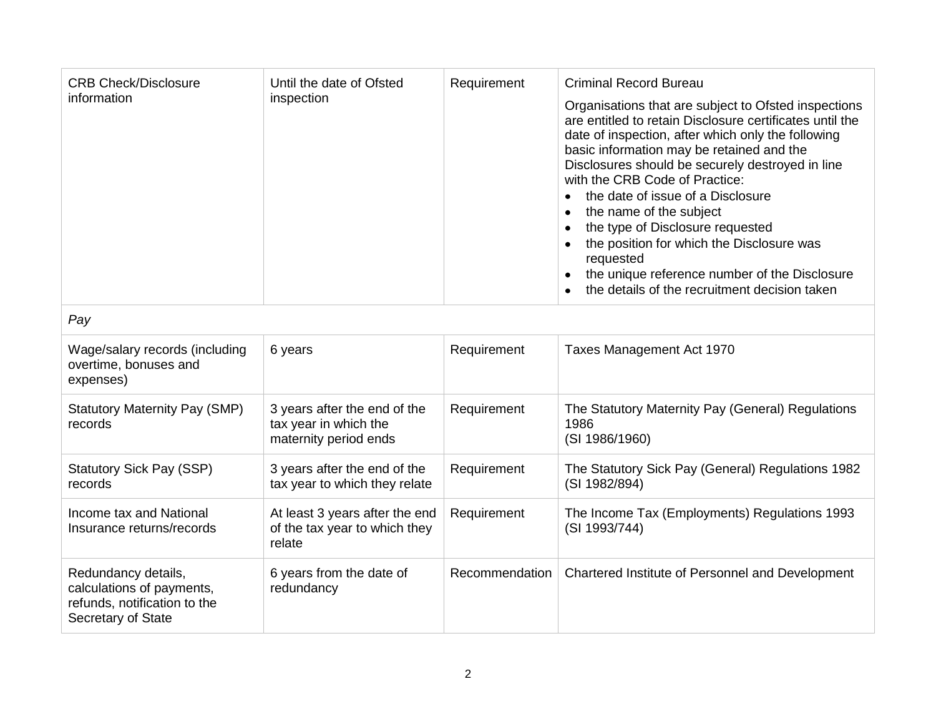| <b>CRB Check/Disclosure</b><br>information                                                             | Until the date of Ofsted<br>inspection                                         | Requirement    | <b>Criminal Record Bureau</b><br>Organisations that are subject to Ofsted inspections<br>are entitled to retain Disclosure certificates until the<br>date of inspection, after which only the following<br>basic information may be retained and the<br>Disclosures should be securely destroyed in line<br>with the CRB Code of Practice:<br>the date of issue of a Disclosure<br>$\bullet$<br>the name of the subject<br>٠<br>the type of Disclosure requested<br>$\bullet$<br>the position for which the Disclosure was<br>$\bullet$<br>requested<br>the unique reference number of the Disclosure<br>$\bullet$<br>the details of the recruitment decision taken<br>$\bullet$ |  |  |
|--------------------------------------------------------------------------------------------------------|--------------------------------------------------------------------------------|----------------|----------------------------------------------------------------------------------------------------------------------------------------------------------------------------------------------------------------------------------------------------------------------------------------------------------------------------------------------------------------------------------------------------------------------------------------------------------------------------------------------------------------------------------------------------------------------------------------------------------------------------------------------------------------------------------|--|--|
| Pay                                                                                                    |                                                                                |                |                                                                                                                                                                                                                                                                                                                                                                                                                                                                                                                                                                                                                                                                                  |  |  |
| Wage/salary records (including<br>overtime, bonuses and<br>expenses)                                   | 6 years                                                                        | Requirement    | Taxes Management Act 1970                                                                                                                                                                                                                                                                                                                                                                                                                                                                                                                                                                                                                                                        |  |  |
| <b>Statutory Maternity Pay (SMP)</b><br>records                                                        | 3 years after the end of the<br>tax year in which the<br>maternity period ends | Requirement    | The Statutory Maternity Pay (General) Regulations<br>1986<br>(SI 1986/1960)                                                                                                                                                                                                                                                                                                                                                                                                                                                                                                                                                                                                      |  |  |
| <b>Statutory Sick Pay (SSP)</b><br>records                                                             | 3 years after the end of the<br>tax year to which they relate                  | Requirement    | The Statutory Sick Pay (General) Regulations 1982<br>(SI 1982/894)                                                                                                                                                                                                                                                                                                                                                                                                                                                                                                                                                                                                               |  |  |
| Income tax and National<br>Insurance returns/records                                                   | At least 3 years after the end<br>of the tax year to which they<br>relate      | Requirement    | The Income Tax (Employments) Regulations 1993<br>(SI 1993/744)                                                                                                                                                                                                                                                                                                                                                                                                                                                                                                                                                                                                                   |  |  |
| Redundancy details,<br>calculations of payments,<br>refunds, notification to the<br>Secretary of State | 6 years from the date of<br>redundancy                                         | Recommendation | Chartered Institute of Personnel and Development                                                                                                                                                                                                                                                                                                                                                                                                                                                                                                                                                                                                                                 |  |  |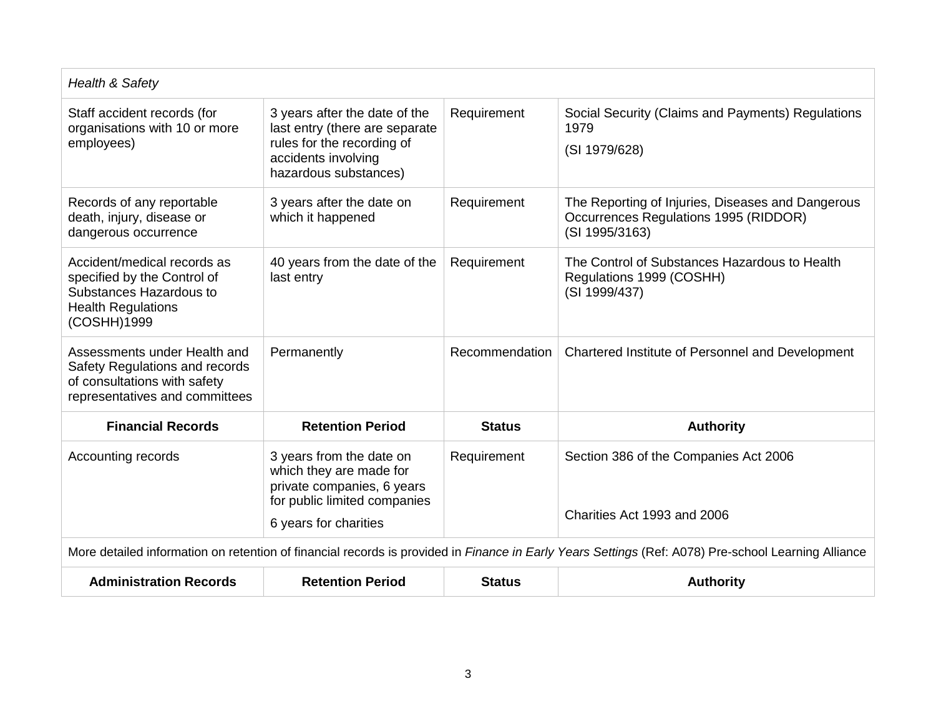| <b>Health &amp; Safety</b>                                                                                                                          |                                                                                                                                               |                |                                                                                                              |  |  |
|-----------------------------------------------------------------------------------------------------------------------------------------------------|-----------------------------------------------------------------------------------------------------------------------------------------------|----------------|--------------------------------------------------------------------------------------------------------------|--|--|
| Staff accident records (for<br>organisations with 10 or more<br>employees)                                                                          | 3 years after the date of the<br>last entry (there are separate<br>rules for the recording of<br>accidents involving<br>hazardous substances) | Requirement    | Social Security (Claims and Payments) Regulations<br>1979<br>(SI 1979/628)                                   |  |  |
| Records of any reportable<br>death, injury, disease or<br>dangerous occurrence                                                                      | 3 years after the date on<br>which it happened                                                                                                | Requirement    | The Reporting of Injuries, Diseases and Dangerous<br>Occurrences Regulations 1995 (RIDDOR)<br>(SI 1995/3163) |  |  |
| Accident/medical records as<br>specified by the Control of<br>Substances Hazardous to<br><b>Health Regulations</b><br>(COSHH)1999                   | 40 years from the date of the<br>last entry                                                                                                   | Requirement    | The Control of Substances Hazardous to Health<br>Regulations 1999 (COSHH)<br>(SI 1999/437)                   |  |  |
| Assessments under Health and<br>Safety Regulations and records<br>of consultations with safety<br>representatives and committees                    | Permanently                                                                                                                                   | Recommendation | Chartered Institute of Personnel and Development                                                             |  |  |
| <b>Financial Records</b>                                                                                                                            | <b>Retention Period</b>                                                                                                                       | <b>Status</b>  | <b>Authority</b>                                                                                             |  |  |
| Accounting records                                                                                                                                  | 3 years from the date on<br>which they are made for<br>private companies, 6 years<br>for public limited companies<br>6 years for charities    | Requirement    | Section 386 of the Companies Act 2006<br>Charities Act 1993 and 2006                                         |  |  |
| More detailed information on retention of financial records is provided in Finance in Early Years Settings (Ref: A078) Pre-school Learning Alliance |                                                                                                                                               |                |                                                                                                              |  |  |
| <b>Administration Records</b>                                                                                                                       | <b>Retention Period</b>                                                                                                                       | <b>Status</b>  | <b>Authority</b>                                                                                             |  |  |